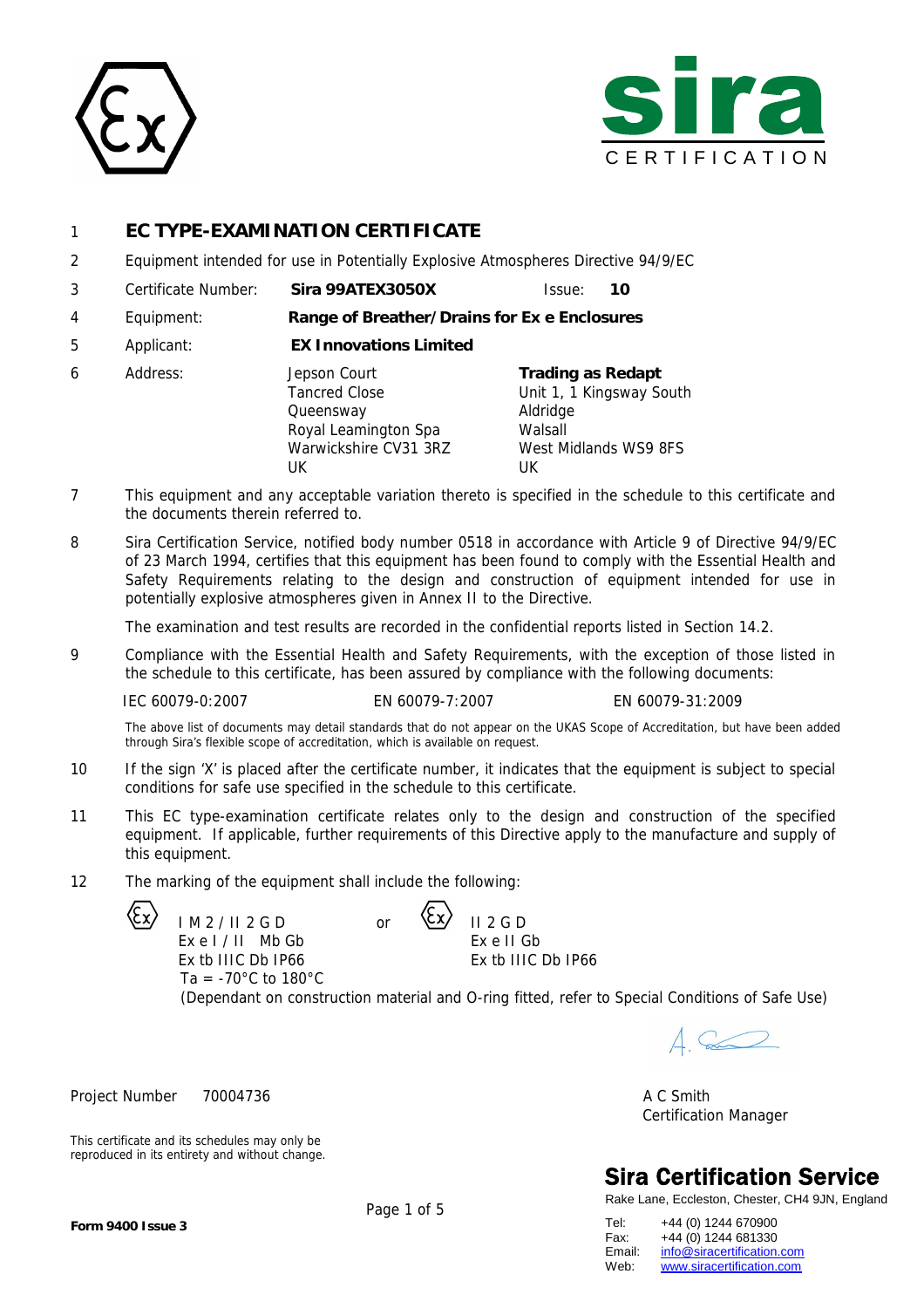



# 1 **EC TYPE-EXAMINATION CERTIFICATE**

- 2 Equipment intended for use in Potentially Explosive Atmospheres Directive 94/9/EC
- 3 Certificate Number: **Sira 99ATEX3050X** Issue: **10**
- 4 Equipment: **Range of Breather/Drains for Ex e Enclosures**
- 5 Applicant: **EX Innovations Limited**

| 6 | Address: | Jepson Court          | Trading as Redapt        |
|---|----------|-----------------------|--------------------------|
|   |          | <b>Tancred Close</b>  | Unit 1, 1 Kingsway South |
|   |          | Queensway             | Aldridge                 |
|   |          | Royal Leamington Spa  | Walsall                  |
|   |          | Warwickshire CV31 3RZ | West Midlands WS9 8FS    |
|   |          | UК                    | UK                       |

- 7 This equipment and any acceptable variation thereto is specified in the schedule to this certificate and the documents therein referred to.
- 8 Sira Certification Service, notified body number 0518 in accordance with Article 9 of Directive 94/9/EC of 23 March 1994, certifies that this equipment has been found to comply with the Essential Health and Safety Requirements relating to the design and construction of equipment intended for use in potentially explosive atmospheres given in Annex II to the Directive.

The examination and test results are recorded in the confidential reports listed in Section 14.2.

9 Compliance with the Essential Health and Safety Requirements, with the exception of those listed in the schedule to this certificate, has been assured by compliance with the following documents:

IEC 60079-0:2007 EN 60079-7:2007 EN 60079-31:2009

The above list of documents may detail standards that do not appear on the UKAS Scope of Accreditation, but have been added through Sira's flexible scope of accreditation, which is available on request.

- 10 If the sign 'X' is placed after the certificate number, it indicates that the equipment is subject to special conditions for safe use specified in the schedule to this certificate.
- 11 This EC type-examination certificate relates only to the design and construction of the specified equipment. If applicable, further requirements of this Directive apply to the manufacture and supply of this equipment.
- 12 The marking of the equipment shall include the following:

 $IM2/II2GD$  or  $X/II2GD$ Ex e I / II Mb Gb Ex tb IIIC Db IP66 Ta =  $-70^{\circ}$ C to  $180^{\circ}$ C

This certificate and its schedules may only be reproduced in its entirety and without change. Ex e II Gb Ex tb IIIC Db IP66

(Dependant on construction material and O-ring fitted, refer to Special Conditions of Safe Use)

 $\triangle$ 

Project Number 70004736 A C Smith Certification Manager

# **Sira Certification Service**

Rake Lane, Eccleston, Chester, CH4 9JN, England

Tel: +44 (0) 1244 670900 Fax: +44 (0) 1244 681330<br>Email: info@siracertification. Email: [info@siracertification.com](mailto:info@siracertification.com)<br>Web: www.siracertification.com [www.siracertification.com](http://www.siracertification.com)

**Form 9400 Issue 3**

Page 1 of 5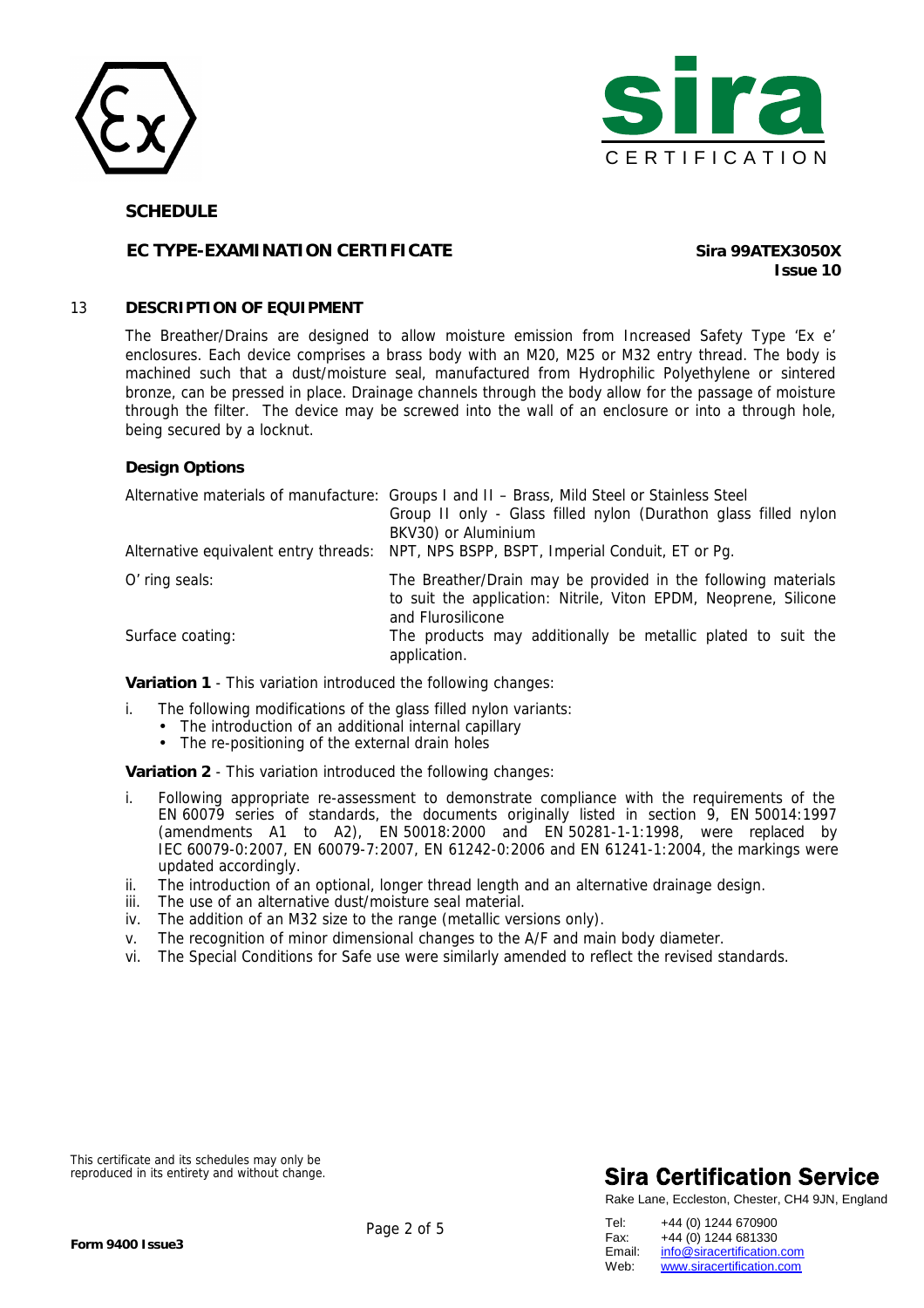



## **EC TYPE-EXAMINATION CERTIFICATE Sira 99ATEX3050X**

**Issue 10**

## 13 **DESCRIPTION OF EQUIPMENT**

The Breather/Drains are designed to allow moisture emission from Increased Safety Type 'Ex e' enclosures. Each device comprises a brass body with an M20, M25 or M32 entry thread. The body is machined such that a dust/moisture seal, manufactured from Hydrophilic Polyethylene or sintered bronze, can be pressed in place. Drainage channels through the body allow for the passage of moisture through the filter. The device may be screwed into the wall of an enclosure or into a through hole, being secured by a locknut.

## **Design Options**

|                  | Alternative materials of manufacture: Groups I and II - Brass, Mild Steel or Stainless Steel<br>Group II only - Glass filled nylon (Durathon glass filled nylon<br>BKV30) or Aluminium<br>Alternative equivalent entry threads: NPT, NPS BSPP, BSPT, Imperial Conduit, ET or Pg. |
|------------------|----------------------------------------------------------------------------------------------------------------------------------------------------------------------------------------------------------------------------------------------------------------------------------|
|                  |                                                                                                                                                                                                                                                                                  |
| O' ring seals:   | The Breather/Drain may be provided in the following materials<br>to suit the application: Nitrile, Viton EPDM, Neoprene, Silicone<br>and Flurosilicone                                                                                                                           |
| Surface coating: | The products may additionally be metallic plated to suit the<br>application.                                                                                                                                                                                                     |

**Variation 1** - This variation introduced the following changes:

- i. The following modifications of the glass filled nylon variants:
	- The introduction of an additional internal capillary
		- The re-positioning of the external drain holes

**Variation 2** - This variation introduced the following changes:

- i. Following appropriate re-assessment to demonstrate compliance with the requirements of the EN 60079 series of standards, the documents originally listed in section 9, EN 50014:1997 (amendments A1 to A2), EN 50018:2000 and EN 50281-1-1:1998, were replaced by IEC 60079-0:2007, EN 60079-7:2007, EN 61242-0:2006 and EN 61241-1:2004, the markings were updated accordingly.
- ii. The introduction of an optional, longer thread length and an alternative drainage design.
- iii. The use of an alternative dust/moisture seal material.
- iv. The addition of an M32 size to the range (metallic versions only).
- v. The recognition of minor dimensional changes to the A/F and main body diameter.
- vi. The Special Conditions for Safe use were similarly amended to reflect the revised standards.

This certificate and its schedules may only be reproduced in its entirety and without change.

# **Sira Certification Service**

| Tel:   | +44 (0) 1244 670900        |
|--------|----------------------------|
| Fax:   | +44 (0) 1244 681330        |
| Email: | info@siracertification.com |
| Web:   | www.siracertification.com  |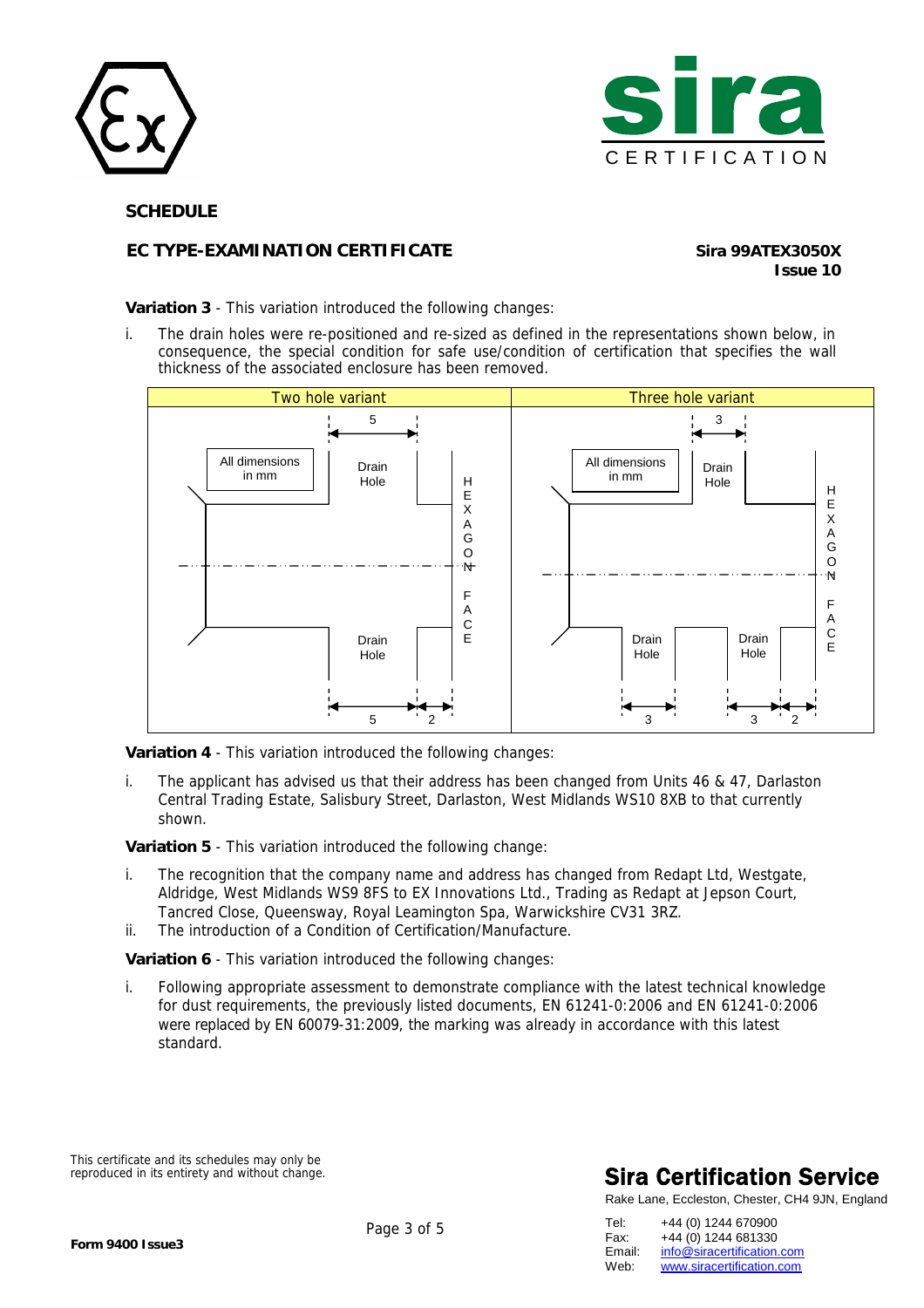



# **EC TYPE-EXAMINATION CERTIFICATE Sira 99ATEX3050X**

**Issue 10**

**Variation 3** - This variation introduced the following changes:

i. The drain holes were re-positioned and re-sized as defined in the representations shown below, in consequence, the special condition for safe use/condition of certification that specifies the wall thickness of the associated enclosure has been removed.



**Variation 4** - This variation introduced the following changes:

i. The applicant has advised us that their address has been changed from Units 46 & 47, Darlaston Central Trading Estate, Salisbury Street, Darlaston, West Midlands WS10 8XB to that currently shown.

**Variation 5** - This variation introduced the following change:

- i. The recognition that the company name and address has changed from Redapt Ltd, Westgate, Aldridge, West Midlands WS9 8FS to EX Innovations Ltd., Trading as Redapt at Jepson Court, Tancred Close, Queensway, Royal Leamington Spa, Warwickshire CV31 3RZ.
- ii. The introduction of a Condition of Certification/Manufacture.

**Variation 6** - This variation introduced the following changes:

i. Following appropriate assessment to demonstrate compliance with the latest technical knowledge for dust requirements, the previously listed documents, EN 61241-0:2006 and EN 61241-0:2006 were replaced by EN 60079-31:2009, the marking was already in accordance with this latest standard.

This certificate and its schedules may only be reproduced in its entirety and without change.

# **Sira Certification Service**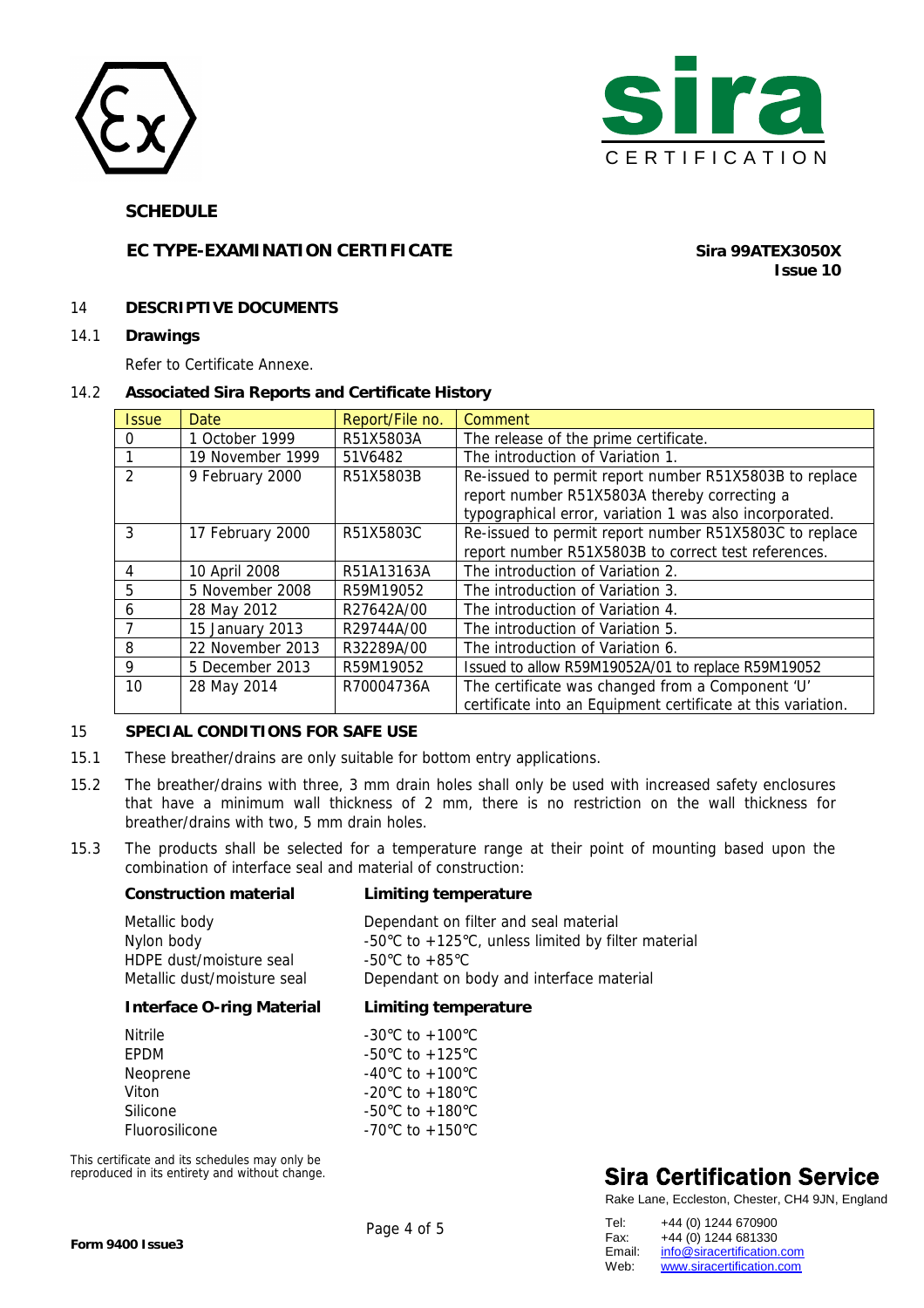



## **EC TYPE-EXAMINATION CERTIFICATE** *Sira 99ATEX3050X*

**Issue 10**

## 14 **DESCRIPTIVE DOCUMENTS**

14.1 **Drawings** 

Refer to Certificate Annexe.

## 14.2 **Associated Sira Reports and Certificate History**

| <i><b>Issue</b></i> | Date             | Report/File no. | Comment                                                      |
|---------------------|------------------|-----------------|--------------------------------------------------------------|
| 0                   | 1 October 1999   | R51X5803A       | The release of the prime certificate.                        |
|                     | 19 November 1999 | 51V6482         | The introduction of Variation 1.                             |
| $\mathcal{P}$       | 9 February 2000  | R51X5803B       | Re-issued to permit report number R51X5803B to replace       |
|                     |                  |                 | report number R51X5803A thereby correcting a                 |
|                     |                  |                 | typographical error, variation 1 was also incorporated.      |
| 3                   | 17 February 2000 | R51X5803C       | Re-issued to permit report number R51X5803C to replace       |
|                     |                  |                 | report number R51X5803B to correct test references.          |
| 4                   | 10 April 2008    | R51A13163A      | The introduction of Variation 2.                             |
| 5.                  | 5 November 2008  | R59M19052       | The introduction of Variation 3.                             |
| 6                   | 28 May 2012      | R27642A/00      | The introduction of Variation 4.                             |
|                     | 15 January 2013  | R29744A/00      | The introduction of Variation 5.                             |
| 8                   | 22 November 2013 | R32289A/00      | The introduction of Variation 6.                             |
| 9                   | 5 December 2013  | R59M19052       | Issued to allow R59M19052A/01 to replace R59M19052           |
| 10                  | 28 May 2014      | R70004736A      | The certificate was changed from a Component 'U'             |
|                     |                  |                 | certificate into an Equipment certificate at this variation. |

## 15 **SPECIAL CONDITIONS FOR SAFE USE**

- 15.1 These breather/drains are only suitable for bottom entry applications.
- 15.2 The breather/drains with three, 3 mm drain holes shall only be used with increased safety enclosures that have a minimum wall thickness of 2 mm, there is no restriction on the wall thickness for breather/drains with two, 5 mm drain holes.
- 15.3 The products shall be selected for a temperature range at their point of mounting based upon the combination of interface seal and material of construction:

#### **Construction material Limiting temperature**

| Metallic body               | Dependant on filter and seal material                                  |
|-----------------------------|------------------------------------------------------------------------|
| Nylon body                  | -50 $\degree$ C to +125 $\degree$ C, unless limited by filter material |
| HDPE dust/moisture seal     | -50°C to +85°C                                                         |
| Metallic dust/moisture seal | Dependant on body and interface material                               |

### **Interface O-ring Material Limiting temperature**

| <b>Nitrile</b> | $-30^{\circ}$ C to $+100^{\circ}$ C |
|----------------|-------------------------------------|
| <b>FPDM</b>    | -50 $\degree$ C to +125 $\degree$ C |
| Neoprene       | $-40^{\circ}$ C to $+100^{\circ}$ C |
| Viton          | -20 $\degree$ C to +180 $\degree$ C |
| Silicone       | $-50^{\circ}$ C to $+180^{\circ}$ C |
| Fluorosilicone | -70 °C to +150 °C                   |

This certificate and its schedules may only be reproduced in its entirety and without change.

# **Sira Certification Service**

| Tel:   | +44 (0) 1244 670900        |
|--------|----------------------------|
| Fax:   | +44 (0) 1244 681330        |
| Email: | info@siracertification.com |
| Web:   | www.siracertification.com  |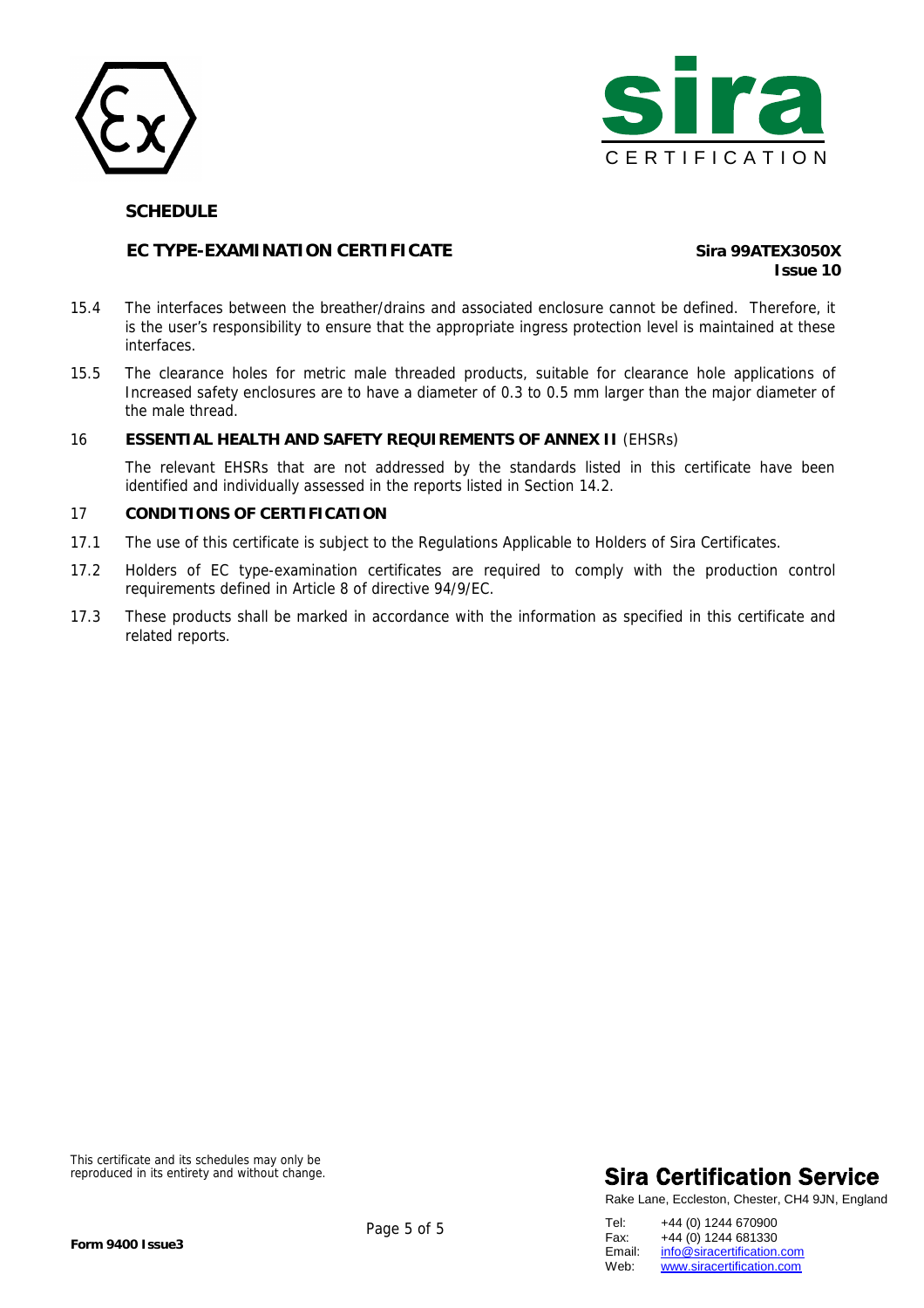



## **EC TYPE-EXAMINATION CERTIFICATE** *Sira 99ATEX3050X*

**Issue 10**

- 15.4 The interfaces between the breather/drains and associated enclosure cannot be defined. Therefore, it is the user's responsibility to ensure that the appropriate ingress protection level is maintained at these interfaces.
- 15.5 The clearance holes for metric male threaded products, suitable for clearance hole applications of Increased safety enclosures are to have a diameter of 0.3 to 0.5 mm larger than the major diameter of the male thread.

## 16 **ESSENTIAL HEALTH AND SAFETY REQUIREMENTS OF ANNEX II** (EHSRs)

The relevant EHSRs that are not addressed by the standards listed in this certificate have been identified and individually assessed in the reports listed in Section 14.2.

#### 17 **CONDITIONS OF CERTIFICATION**

- 17.1 The use of this certificate is subject to the Regulations Applicable to Holders of Sira Certificates.
- 17.2 Holders of EC type-examination certificates are required to comply with the production control requirements defined in Article 8 of directive 94/9/EC.
- 17.3 These products shall be marked in accordance with the information as specified in this certificate and related reports.

This certificate and its schedules may only be reproduced in its entirety and without change.

# **Sira Certification Service**

Rake Lane, Eccleston, Chester, CH4 9JN, England

Tel: +44 (0) 1244 670900 Fax: +44 (0) 1244 681330<br>Email: info@siracertification. Email: [info@siracertification.com](mailto:info@siracertification.com)<br>Web: www.siracertification.com [www.siracertification.com](http://www.siracertification.com)